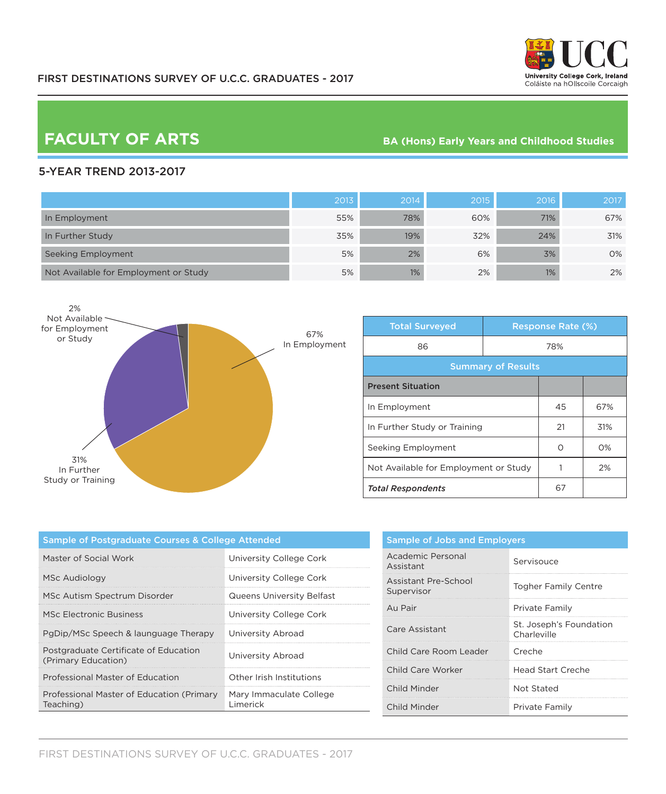

# **FACULTY OF ARTS**

#### **BA (Hons) Early Years and Childhood Studies**

### 5-YEAR TREND 2013-2017

|                                       | 2013 | 2014 | 2015' | 2016 | 2017 |
|---------------------------------------|------|------|-------|------|------|
| In Employment                         | 55%  | 78%  | 60%   | 71%  | 67%  |
| In Further Study                      | 35%  | 19%  | 32%   | 24%  | 31%  |
| Seeking Employment                    | 5%   | 2%   | 6%    | 3%   | 0%   |
| Not Available for Employment or Study | 5%   | 1%   | 2%    | 1%   | 2%   |



| <b>Total Surveyed</b>                 |  | <b>Response Rate (%)</b> |       |  |
|---------------------------------------|--|--------------------------|-------|--|
| 86                                    |  | 78%                      |       |  |
| <b>Summary of Results</b>             |  |                          |       |  |
| <b>Present Situation</b>              |  |                          |       |  |
| In Employment                         |  | 45                       | 67%   |  |
| In Further Study or Training          |  | 21                       | 31%   |  |
| Seeking Employment                    |  | Ω                        | $O\%$ |  |
| Not Available for Employment or Study |  |                          | 2%    |  |
| <b>Total Respondents</b>              |  | 67                       |       |  |

| Sample of Postgraduate Courses & College Attended            |                                     |  |
|--------------------------------------------------------------|-------------------------------------|--|
| Master of Social Work                                        | University College Cork             |  |
| MSc Audiology                                                | University College Cork             |  |
| MSc Autism Spectrum Disorder                                 | <b>Queens University Belfast</b>    |  |
| MSc Electronic Business                                      | University College Cork             |  |
| PgDip/MSc Speech & launguage Therapy                         | University Abroad                   |  |
| Postgraduate Certificate of Education<br>(Primary Education) | University Abroad                   |  |
| Professional Master of Education                             | Other Irish Institutions            |  |
| Professional Master of Education (Primary<br>Teaching)       | Mary Immaculate College<br>Limerick |  |

| <b>Sample of Jobs and Employers</b> |                                        |  |
|-------------------------------------|----------------------------------------|--|
| Academic Personal<br>Assistant      | Servisouce                             |  |
| Assistant Pre-School<br>Supervisor  | <b>Togher Family Centre</b>            |  |
| Au Pair                             | Private Family                         |  |
| Care Assistant                      | St. Joseph's Foundation<br>Charleville |  |
| Child Care Room Leader              | Creche                                 |  |
| Child Care Worker                   | Head Start Creche                      |  |
| Child Minder                        | Not Stated                             |  |
| Child Minder                        | Private Family                         |  |